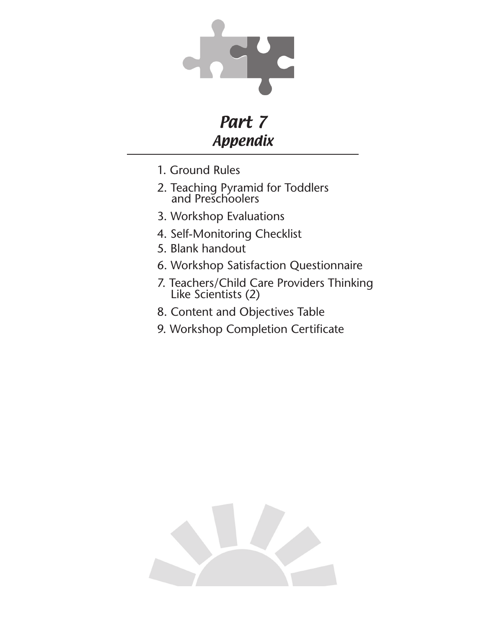

# Part 7 Appendix

- 1. Ground Rules
- 2. Teaching Pyramid for Toddlers and Preschoolers
- 3. Workshop Evaluations
- 4. Self-Monitoring Checklist
- 5. Blank handout
- 6. Workshop Satisfaction Questionnaire
- 7. Teachers/Child Care Providers Thinking Like Scientists (2)
- 8. Content and Objectives Table
- 9. Workshop Completion Certificate

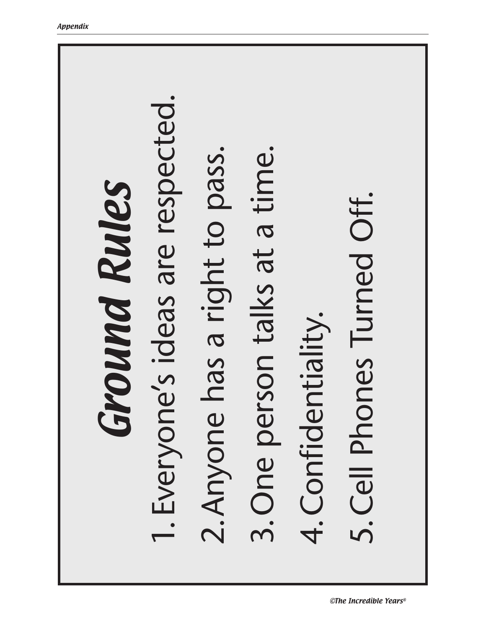# 1. Everyone's ideas are respected. I. Everyone's ideas are respected 2. Anyone has a right to pass. 3. One person talks at a time. 2.Anyone has a right to pass. 3.One person talks at a time. Ground Rules Ground Rules 5. Cell Phones Turned Off. 5.Cell Phones Turned Off.4. Confidentiality. 4.Confidentiality.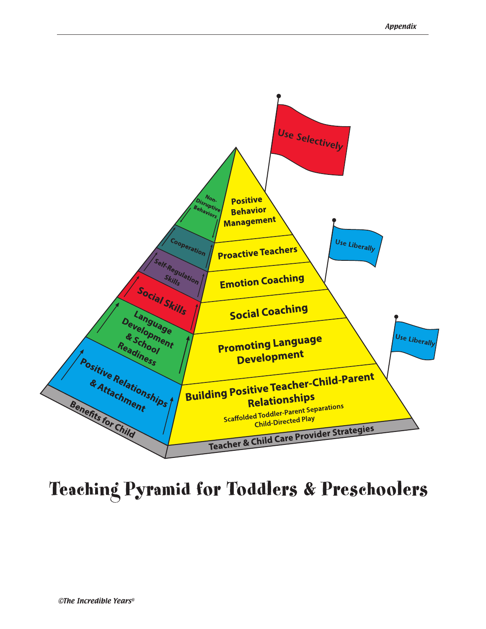

Teaching Pyramid for Toddlers & Preschoolers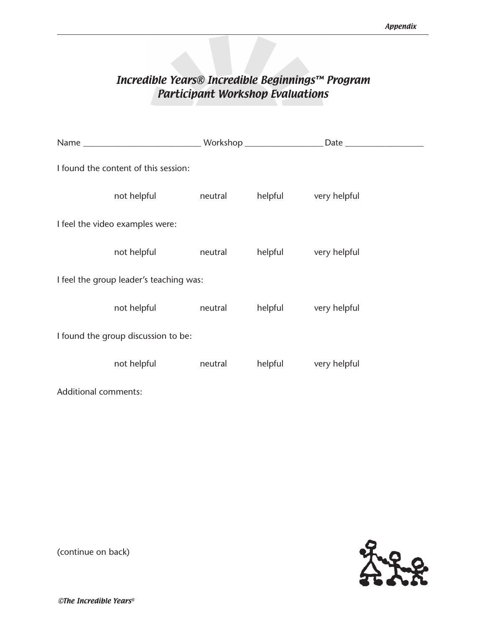# Incredible Years® Incredible Beginnings™ Program Participant Workshop Evaluations

| I found the content of this session:    |         |         |              |
|-----------------------------------------|---------|---------|--------------|
| not helpful                             | neutral | helpful | very helpful |
| I feel the video examples were:         |         |         |              |
| not helpful                             | neutral | helpful | very helpful |
| I feel the group leader's teaching was: |         |         |              |
| not helpful                             | neutral | helpful | very helpful |
| I found the group discussion to be:     |         |         |              |
| not helpful                             | neutral | helpful | very helpful |
| <b>Additional comments:</b>             |         |         |              |



(continue on back)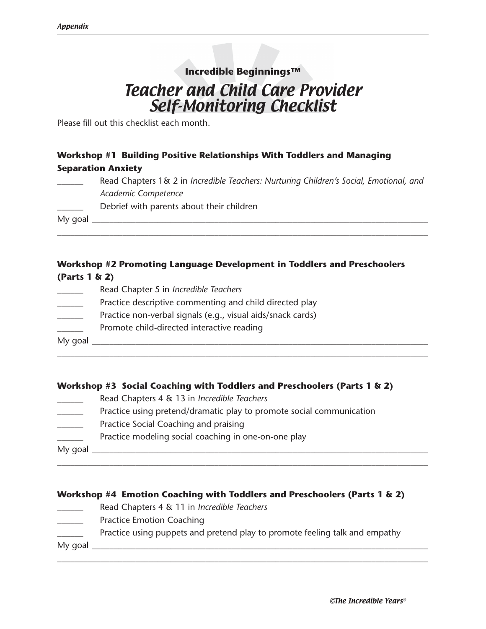# Teacher and Child Care Provider Self-Monitoring Checklist **Incredible Beginnings™**

Please fill out this checklist each month.

### **Workshop #1 Building Positive Relationships With Toddlers and Managing Separation Anxiety**

\_\_\_\_\_\_ Read Chapters 1& 2 in *Incredible Teachers: Nurturing Children's Social, Emotional, and Academic Competence*

\_\_\_\_\_\_\_\_\_\_\_\_\_\_\_\_\_\_\_\_\_\_\_\_\_\_\_\_\_\_\_\_\_\_\_\_\_\_\_\_\_\_\_\_\_\_\_\_\_\_\_\_\_\_\_\_\_\_\_\_\_\_\_\_\_\_\_\_\_\_\_\_\_\_\_\_\_\_\_\_\_\_\_\_\_

Debrief with parents about their children

My goal \_\_\_\_\_\_\_\_\_\_\_\_\_\_\_\_\_\_\_\_\_\_\_\_\_\_\_\_\_\_\_\_\_\_\_\_\_\_\_\_\_\_\_\_\_\_\_\_\_\_\_\_\_\_\_\_\_\_\_\_\_\_\_\_\_\_\_\_\_\_\_\_\_\_\_\_\_

#### **Workshop #2 Promoting Language Development in Toddlers and Preschoolers (Parts 1 & 2)**

- \_\_\_\_\_\_ Read Chapter 5 in *Incredible Teachers*
- Practice descriptive commenting and child directed play
- \_\_\_\_\_\_ Practice non-verbal signals (e.g., visual aids/snack cards)
- Promote child-directed interactive reading

My goal \_\_\_\_\_\_\_\_\_\_\_\_\_\_\_\_\_\_\_\_\_\_\_\_\_\_\_\_\_\_\_\_\_\_\_\_\_\_\_\_\_\_\_\_\_\_\_\_\_\_\_\_\_\_\_\_\_\_\_\_\_\_\_\_\_\_\_\_\_\_\_\_\_\_\_\_\_

#### **Workshop #3 Social Coaching with Toddlers and Preschoolers (Parts 1 & 2)**

\_\_\_\_\_\_\_\_\_\_\_\_\_\_\_\_\_\_\_\_\_\_\_\_\_\_\_\_\_\_\_\_\_\_\_\_\_\_\_\_\_\_\_\_\_\_\_\_\_\_\_\_\_\_\_\_\_\_\_\_\_\_\_\_\_\_\_\_\_\_\_\_\_\_\_\_\_\_\_\_\_\_\_\_\_

- \_\_\_\_\_\_ Read Chapters 4 & 13 in *Incredible Teachers*
- Practice using pretend/dramatic play to promote social communication
- Practice Social Coaching and praising
- **EXECUTE:** Practice modeling social coaching in one-on-one play

My goal  $\Box$ 

#### **Workshop #4 Emotion Coaching with Toddlers and Preschoolers (Parts 1 & 2)**

\_\_\_\_\_\_\_\_\_\_\_\_\_\_\_\_\_\_\_\_\_\_\_\_\_\_\_\_\_\_\_\_\_\_\_\_\_\_\_\_\_\_\_\_\_\_\_\_\_\_\_\_\_\_\_\_\_\_\_\_\_\_\_\_\_\_\_\_\_\_\_\_\_\_\_\_\_\_\_\_\_\_\_\_\_

- \_\_\_\_\_\_ Read Chapters 4 & 11 in *Incredible Teachers*
- Practice Emotion Coaching
- Practice using puppets and pretend play to promote feeling talk and empathy

\_\_\_\_\_\_\_\_\_\_\_\_\_\_\_\_\_\_\_\_\_\_\_\_\_\_\_\_\_\_\_\_\_\_\_\_\_\_\_\_\_\_\_\_\_\_\_\_\_\_\_\_\_\_\_\_\_\_\_\_\_\_\_\_\_\_\_\_\_\_\_\_\_\_\_\_\_\_\_\_\_\_\_\_\_

My goal  $\equiv$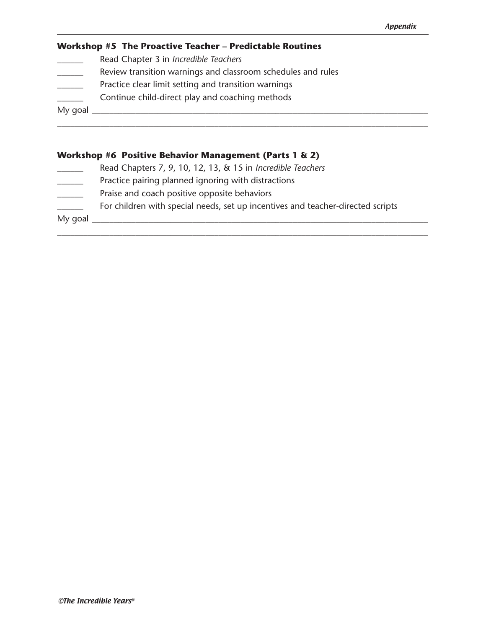#### **Workshop #5 The Proactive Teacher – Predictable Routines**

- \_\_\_\_\_\_ Read Chapter 3 in *Incredible Teachers*
- Review transition warnings and classroom schedules and rules
- Practice clear limit setting and transition warnings
- **EXECUTE:** Continue child-direct play and coaching methods

My goal \_\_\_\_\_\_\_\_\_\_\_\_\_\_\_\_\_\_\_\_\_\_\_\_\_\_\_\_\_\_\_\_\_\_\_\_\_\_\_\_\_\_\_\_\_\_\_\_\_\_\_\_\_\_\_\_\_\_\_\_\_\_\_\_\_\_\_\_\_\_\_\_\_\_\_\_\_

#### **Workshop #6 Positive Behavior Management (Parts 1 & 2)**

- \_\_\_\_\_\_ Read Chapters 7, 9, 10, 12, 13, & 15 in *Incredible Teachers*
- **EXECUTE:** Practice pairing planned ignoring with distractions
- Praise and coach positive opposite behaviors
- \_\_\_\_\_\_ For children with special needs, set up incentives and teacher-directed scripts

\_\_\_\_\_\_\_\_\_\_\_\_\_\_\_\_\_\_\_\_\_\_\_\_\_\_\_\_\_\_\_\_\_\_\_\_\_\_\_\_\_\_\_\_\_\_\_\_\_\_\_\_\_\_\_\_\_\_\_\_\_\_\_\_\_\_\_\_\_\_\_\_\_\_\_\_\_\_\_\_\_\_\_\_\_

\_\_\_\_\_\_\_\_\_\_\_\_\_\_\_\_\_\_\_\_\_\_\_\_\_\_\_\_\_\_\_\_\_\_\_\_\_\_\_\_\_\_\_\_\_\_\_\_\_\_\_\_\_\_\_\_\_\_\_\_\_\_\_\_\_\_\_\_\_\_\_\_\_\_\_\_\_\_\_\_\_\_\_\_\_

My goal  $\frac{1}{\sqrt{1-\frac{1}{2}}\sqrt{1-\frac{1}{2}}\sqrt{1-\frac{1}{2}}\sqrt{1-\frac{1}{2}}\sqrt{1-\frac{1}{2}}$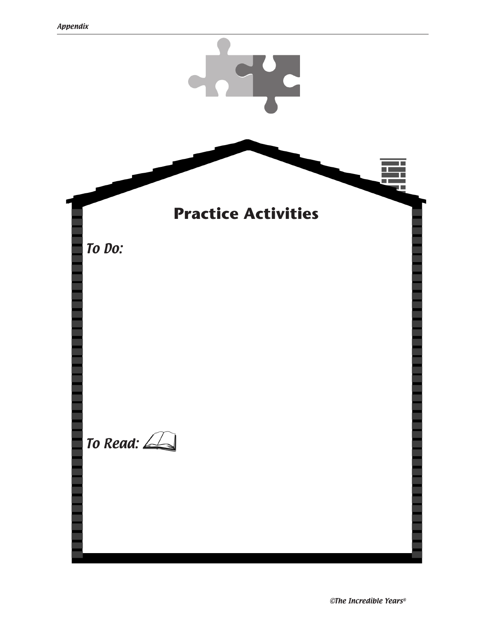

©The Incredible Years®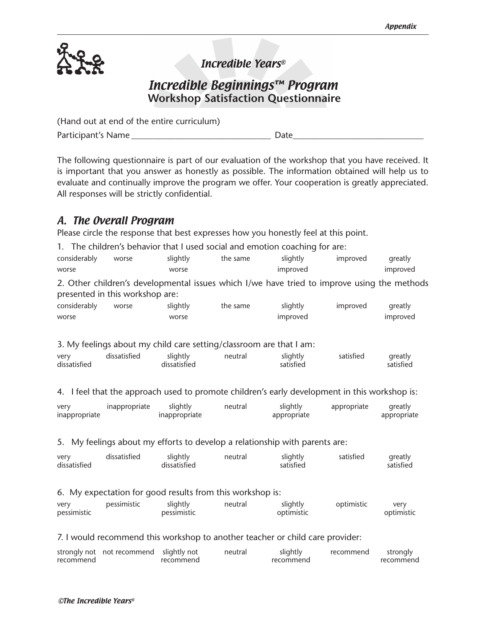

# Incredible Years®

Incredible Beginnings™ Program  **Workshop Satisfaction Questionnaire** 

| (Hand out at end of the entire curriculum) |      |
|--------------------------------------------|------|
| Participant's Name                         | Date |

The following questionnaire is part of our evaluation of the workshop that you have received. It is important that you answer as honestly as possible. The information obtained will help us to evaluate and continually improve the program we offer. Your cooperation is greatly appreciated. All responses will be strictly confidential.

# A. The Overall Program

Please circle the response that best expresses how you honestly feel at this point.

1. The children's behavior that I used social and emotion coaching for are:

| considerably | worse | slightly | the same | slightly | improved                                                                                    | greatly  |
|--------------|-------|----------|----------|----------|---------------------------------------------------------------------------------------------|----------|
| worse        |       | worse    |          | improved |                                                                                             | improved |
|              |       |          |          |          | 2. Other children's developmental issues which I/we have tried to improve using the methods |          |

presented in this workshop are:

| considerably | worse | slightly | the same | slightly | improved | greatly  |
|--------------|-------|----------|----------|----------|----------|----------|
| worse        |       | worse    |          | improved |          | improved |

|                      |              | 3. My feelings about my child care setting/classroom are that I am: |         |                       |           |                      |
|----------------------|--------------|---------------------------------------------------------------------|---------|-----------------------|-----------|----------------------|
| very<br>dissatisfied | dissatisfied | slightly<br>dissatisfied                                            | neutral | slightly<br>satisfied | satisfied | greatly<br>satisfied |

4. I feel that the approach used to promote children's early development in this workshop is:

| very          | inappropriate | slightly             | neutral | slightly    | appropriate | greatly     |
|---------------|---------------|----------------------|---------|-------------|-------------|-------------|
| inappropriate |               | <b>Inappropriate</b> |         | appropriate |             | appropriate |

#### 5. My feelings about my efforts to develop a relationship with parents are:

| very<br>dissatisfied | dissatisfied | slightly<br>dissatisfied | neutral | slightly<br>satisfied | satisfied | greatly<br>satisfied |
|----------------------|--------------|--------------------------|---------|-----------------------|-----------|----------------------|
|                      |              |                          |         |                       |           |                      |

| 6. My expectation for good results from this workshop is: |  |  |  |
|-----------------------------------------------------------|--|--|--|
|                                                           |  |  |  |

| very        | pessimistic | slightly    | neutral | slightly   | optimistic | verv       |
|-------------|-------------|-------------|---------|------------|------------|------------|
| pessimistic |             | pessimistic |         | optimistic |            | optimistic |

#### 7. I would recommend this workshop to another teacher or child care provider:

|           | strongly not not recommend slightly not |           | neutral | slightly  | recommend | strongly  |
|-----------|-----------------------------------------|-----------|---------|-----------|-----------|-----------|
| recommend |                                         | recommend |         | recommend |           | recommend |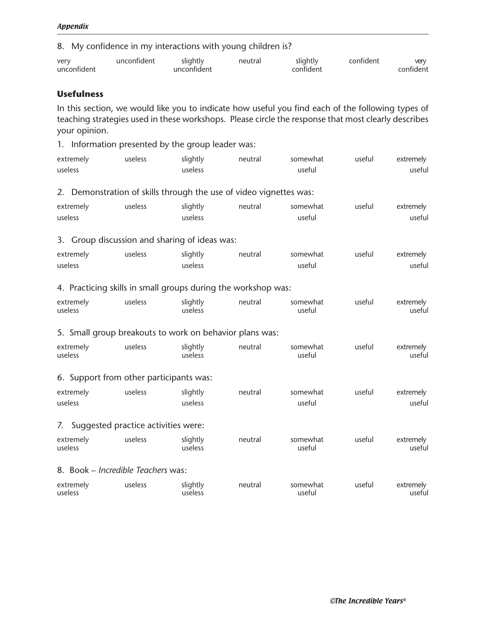#### 8. My confidence in my interactions with young children is?

| very        | unconfident | slightly    | neutra. | slightly | confident | verv      |
|-------------|-------------|-------------|---------|----------|-----------|-----------|
| unconfident |             | unconfident |         | ontiden: |           | confident |

#### **Usefulness**

In this section, we would like you to indicate how useful you find each of the following types of teaching strategies used in these workshops. Please circle the response that most clearly describes your opinion.

1. Information presented by the group leader was:

| extremely | useless | slightly | neutral | somewhat | useful | extremely |
|-----------|---------|----------|---------|----------|--------|-----------|
| useless   |         | useless  |         | useful   |        | useful    |

2. Demonstration of skills through the use of video vignettes was:

| extremely | useless | slightly | neutral | somewhat | useful | extremely |
|-----------|---------|----------|---------|----------|--------|-----------|
| useless   |         | useless  |         | useful   |        | useful    |

3. Group discussion and sharing of ideas was:

| extremely | useless | slightly | neutral | somewhat | useful | extremely |
|-----------|---------|----------|---------|----------|--------|-----------|
| useless   |         | useless  |         | useful   |        | useful    |

#### 4. Practicing skills in small groups during the workshop was:

| extremely | useless | slightly | neutral | somewhat | useful | extremely |
|-----------|---------|----------|---------|----------|--------|-----------|
| useless   |         | useless  |         | useful   |        | useful    |

5. Small group breakouts to work on behavior plans was:

| slightly<br>extremely<br>useless<br>useless<br>useless | useful<br>somewhat<br>neutral<br>useful | extremely<br>useful |
|--------------------------------------------------------|-----------------------------------------|---------------------|
|--------------------------------------------------------|-----------------------------------------|---------------------|

#### 6. Support from other participants was:

| extremely | useless | slightly | neutral | somewhat | useful | extremely |
|-----------|---------|----------|---------|----------|--------|-----------|
| useless   |         | useless  |         | useful   |        | useful    |

#### 7. Suggested practice activities were:

| extremely<br>useless | useless | slightly<br>useless | neutral | somewhat<br>useful | useful | extremely<br>useful |
|----------------------|---------|---------------------|---------|--------------------|--------|---------------------|
|                      |         |                     |         |                    |        |                     |

#### 8. Book – *Incredible Teachers* was:

| extremely | useless | slightly | neutral | somewhat | useful | extremelv |
|-----------|---------|----------|---------|----------|--------|-----------|
| useless   |         | useless  |         | useful   |        | useful    |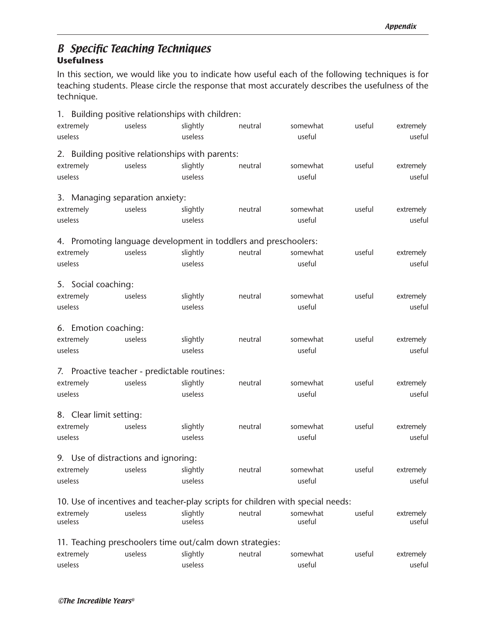## B Specific Teaching Techniques **Usefulness**

In this section, we would like you to indicate how useful each of the following techniques is for teaching students. Please circle the response that most accurately describes the usefulness of the technique.

| 1. Building positive relationships with children:               |         |          |         |                                                                                 |        |           |
|-----------------------------------------------------------------|---------|----------|---------|---------------------------------------------------------------------------------|--------|-----------|
| extremely                                                       | useless | slightly | neutral | somewhat                                                                        | useful | extremely |
| useless                                                         |         | useless  |         | useful                                                                          |        | useful    |
| 2. Building positive relationships with parents:                |         |          |         |                                                                                 |        |           |
| extremely                                                       | useless | slightly | neutral | somewhat                                                                        | useful | extremely |
| useless                                                         |         | useless  |         | useful                                                                          |        | useful    |
|                                                                 |         |          |         |                                                                                 |        |           |
| 3. Managing separation anxiety:                                 |         |          |         |                                                                                 |        |           |
| extremely                                                       | useless | slightly | neutral | somewhat                                                                        | useful | extremely |
| useless                                                         |         | useless  |         | useful                                                                          |        | useful    |
| 4. Promoting language development in toddlers and preschoolers: |         |          |         |                                                                                 |        |           |
| extremely                                                       | useless | slightly | neutral | somewhat                                                                        | useful | extremely |
| useless                                                         |         | useless  |         | useful                                                                          |        | useful    |
|                                                                 |         |          |         |                                                                                 |        |           |
| 5. Social coaching:                                             |         |          |         |                                                                                 |        |           |
| extremely                                                       | useless | slightly | neutral | somewhat                                                                        | useful | extremely |
| useless                                                         |         | useless  |         | useful                                                                          |        | useful    |
| 6. Emotion coaching:                                            |         |          |         |                                                                                 |        |           |
| extremely                                                       | useless | slightly | neutral | somewhat                                                                        | useful | extremely |
| useless                                                         |         | useless  |         | useful                                                                          |        | useful    |
|                                                                 |         |          |         |                                                                                 |        |           |
| 7. Proactive teacher - predictable routines:                    |         |          |         |                                                                                 |        |           |
| extremely                                                       | useless | slightly | neutral | somewhat                                                                        | useful | extremely |
| useless                                                         |         | useless  |         | useful                                                                          |        | useful    |
| 8. Clear limit setting:                                         |         |          |         |                                                                                 |        |           |
| extremely                                                       | useless | slightly | neutral | somewhat                                                                        | useful | extremely |
| useless                                                         |         | useless  |         | useful                                                                          |        | useful    |
|                                                                 |         |          |         |                                                                                 |        |           |
| 9. Use of distractions and ignoring:                            |         |          |         |                                                                                 |        |           |
| extremely                                                       | useless | slightly | neutral | somewhat                                                                        | useful | extremely |
| useless                                                         |         | useless  |         | useful                                                                          |        | useful    |
|                                                                 |         |          |         | 10. Use of incentives and teacher-play scripts for children with special needs: |        |           |
| extremely                                                       | useless | slightly | neutral | somewhat                                                                        | useful | extremely |
| useless                                                         |         | useless  |         | useful                                                                          |        | useful    |
| 11. Teaching preschoolers time out/calm down strategies:        |         |          |         |                                                                                 |        |           |
| extremely                                                       | useless | slightly | neutral | somewhat                                                                        | useful | extremely |
| useless                                                         |         | useless  |         | useful                                                                          |        | useful    |
|                                                                 |         |          |         |                                                                                 |        |           |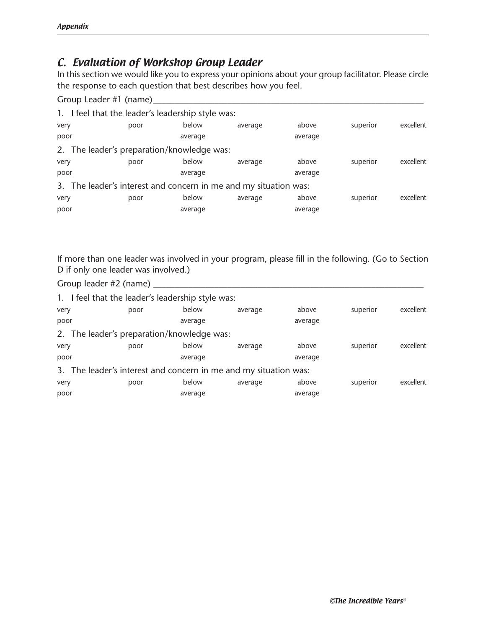# C. Evaluation of Workshop Group Leader

In this section we would like you to express your opinions about your group facilitator. Please circle the response to each question that best describes how you feel.

Group Leader #1 (name)\_\_\_\_\_\_\_\_\_\_\_\_\_\_\_\_\_\_\_\_\_\_\_\_\_\_\_\_\_\_\_\_\_\_\_\_\_\_\_\_\_\_\_\_\_\_\_\_\_\_\_\_\_\_\_\_\_\_\_\_\_\_

| 1. I feel that the leader's leadership style was:                |      |         |         |         |          |           |
|------------------------------------------------------------------|------|---------|---------|---------|----------|-----------|
| very                                                             | poor | below   | average | above   | superior | excellent |
| poor                                                             |      | average |         | average |          |           |
| 2. The leader's preparation/knowledge was:                       |      |         |         |         |          |           |
| very                                                             | poor | below   | average | above   | superior | excellent |
| poor                                                             |      | average |         | average |          |           |
| 3. The leader's interest and concern in me and my situation was: |      |         |         |         |          |           |
| very                                                             | poor | below   | average | above   | superior | excellent |
| poor                                                             |      | average |         | average |          |           |

If more than one leader was involved in your program, please fill in the following. (Go to Section D if only one leader was involved.)

Group leader #2 (name) \_\_\_\_\_\_\_\_\_\_\_\_\_\_\_\_\_\_\_\_\_\_\_\_\_\_\_\_\_\_\_\_\_\_\_\_\_\_\_\_\_\_\_\_\_\_\_\_\_\_\_\_\_\_\_\_\_\_\_\_\_\_

| 1. I feel that the leader's leadership style was:                |      |         |         |         |          |           |
|------------------------------------------------------------------|------|---------|---------|---------|----------|-----------|
| very                                                             | poor | below   | average | above   | superior | excellent |
| poor                                                             |      | average |         | average |          |           |
| 2. The leader's preparation/knowledge was:                       |      |         |         |         |          |           |
| very                                                             | poor | below   | average | above   | superior | excellent |
| poor                                                             |      | average |         | average |          |           |
| 3. The leader's interest and concern in me and my situation was: |      |         |         |         |          |           |
| very                                                             | poor | below   | average | above   | superior | excellent |
| poor                                                             |      | average |         | average |          |           |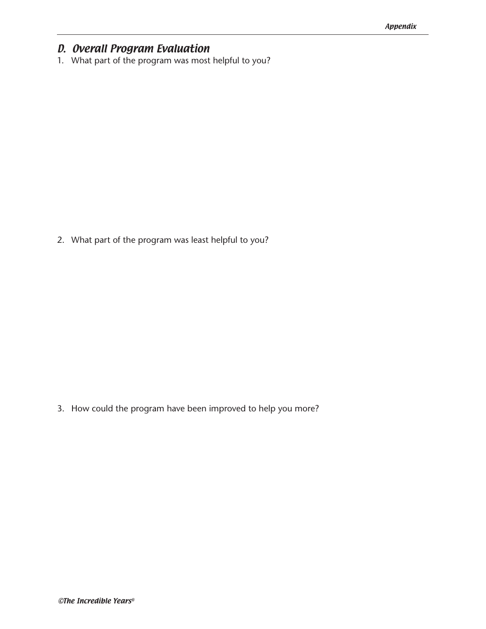# D. Overall Program Evaluation

1. What part of the program was most helpful to you?

2. What part of the program was least helpful to you?

3. How could the program have been improved to help you more?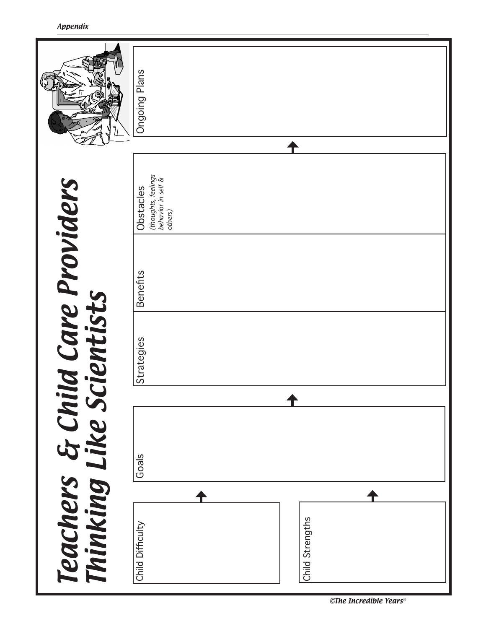|                                                            | Id Care Providers<br>cientists |                                                                   |                      |
|------------------------------------------------------------|--------------------------------|-------------------------------------------------------------------|----------------------|
| Strategies<br>Goals<br>Child Strengths<br>Child Difficulty | <b>Benefits</b>                | (thoughts, feelings<br>behavior in self &<br>Obstacles<br>others) | <b>Ongoing Plans</b> |

<sup>©</sup>The Incredible Years®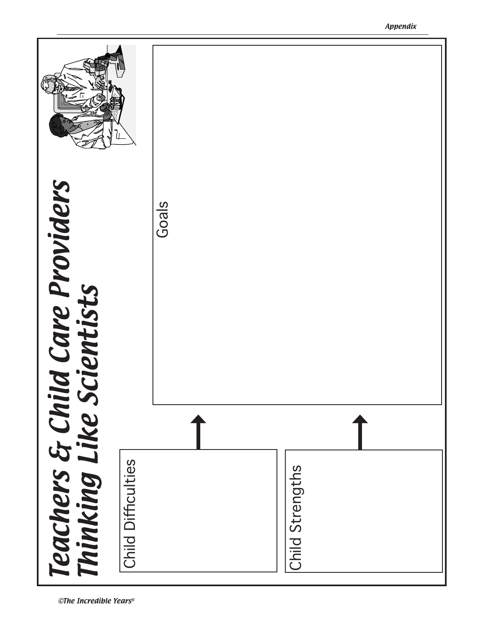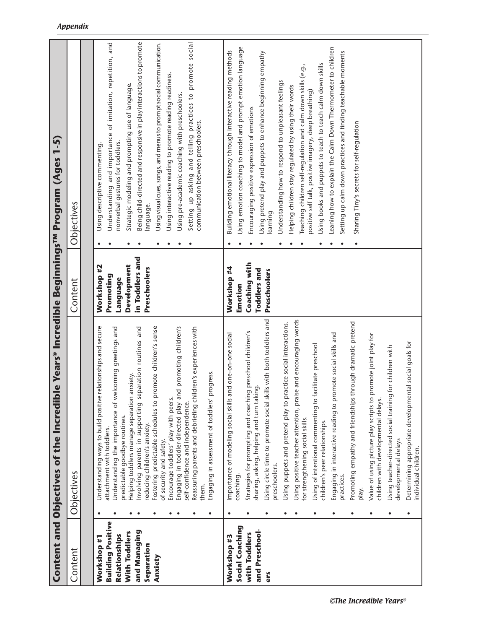|                          | Content and Objectives of the Incredib                                                               |                     | e Years® Incredible Beginnings™ Program (Ages 1-5)                                                                  |  |
|--------------------------|------------------------------------------------------------------------------------------------------|---------------------|---------------------------------------------------------------------------------------------------------------------|--|
| Content                  | Objectives                                                                                           | Content             | Objectives                                                                                                          |  |
|                          |                                                                                                      |                     |                                                                                                                     |  |
| Workshop #1              | Understanding ways to build positive relationships and secure                                        | Workshop #2         | Using descriptive commenting.                                                                                       |  |
| <b>Building Positive</b> | attachment with toddlers.                                                                            | Promoting           | Understanding and importance of imitation, repetition, and                                                          |  |
| Relationships            | coming greetings and<br>Understanding the importance of we                                           | Language            | nonverbal gestures for toddlers.                                                                                    |  |
| With Toddlers            | Helping toddlers manage separation anxiety.<br>predictable goodbye routines.                         | Development         | Strategic modeling and prompting use of language.                                                                   |  |
| and Managing             | Involving parents in supporting separation routines and                                              | in Toddlers and     | Being child-directed and responsive in play interactions to promote                                                 |  |
| Separation               | reducing children's anxiety.                                                                         | Preschoolers        | language.                                                                                                           |  |
| Anxiety                  | omote children's sense<br>Fostering predictable schedules to pr<br>of security and safety.           |                     | Using visual cues, songs, and menus to prompt social communication.                                                 |  |
|                          | Encourage toddlers' play with peers.                                                                 |                     | Using interactive reading to promote reading readiness.                                                             |  |
|                          | Engaging in toddler-directed play and promoting children's                                           |                     | Using pre-academic coaching with preschoolers.                                                                      |  |
|                          | Reassuring parents and debriefing children's experiences with<br>self-confidence and independence.   |                     | Setting up asking and telling practices to promote social                                                           |  |
|                          | them.                                                                                                |                     | communication between preschoolers.                                                                                 |  |
|                          | Engaging in assessment of toddlers' progress.                                                        |                     |                                                                                                                     |  |
| Workshop #3              | Importance of modeling social skills and one-on-one social                                           | Workshop #4         | Building emotional literacy through interactive reading methods                                                     |  |
| Social Coaching          | coaching.                                                                                            | Emotion             | Using emotion coaching to model and prompt emotion language                                                         |  |
| with Toddlers            | Strategies for prompting and coaching preschool children's                                           | Coaching with       | Encouraging positive expression of emotions                                                                         |  |
| and Preschool-           | sharing, asking, helping and turn taking.                                                            | <b>Toddlers</b> and | Using pretend play and puppets to enhance beginning empathy                                                         |  |
| ers                      | Using circle time to promote social skills with both toddlers and<br>preschoolers.                   | Preschoolers        | learning                                                                                                            |  |
|                          | Using puppets and pretend play to practice social interactions.                                      |                     | Understanding how to respond to unpleasant feelings                                                                 |  |
|                          |                                                                                                      |                     | Helping children stay regulated by using their words                                                                |  |
|                          | Using positive teacher attention, praise and encouraging words<br>for strengthening social skills.   |                     | Teaching children self-regulation and calm down skills (e.g.,                                                       |  |
|                          | Using of intentional commenting to facilitate preschool<br>children's peer relationships.            |                     | Using books and puppets to teach to teach calm down skills<br>positive self talk, positive imagery, deep breathing) |  |
|                          | Engaging in interactive reading to promote social skills and                                         |                     | Leaning how to explain the Calm Down Thermometer to children                                                        |  |
|                          | practices.                                                                                           |                     | Setting up calm down practices and finding teachable moments                                                        |  |
|                          | Promoting empathy and friendships through dramatic pretend<br>play.                                  |                     | Sharing Tiny's secrets for self-regulation                                                                          |  |
|                          | Value of using picture play scripts to promote joint play for<br>children with developmental delays. |                     |                                                                                                                     |  |
|                          | for children with<br>Using teacher-directed social training<br>developmental delays                  |                     |                                                                                                                     |  |
|                          | Determining appropriate developmental social goals for<br>individual children.                       |                     |                                                                                                                     |  |

#### Appendix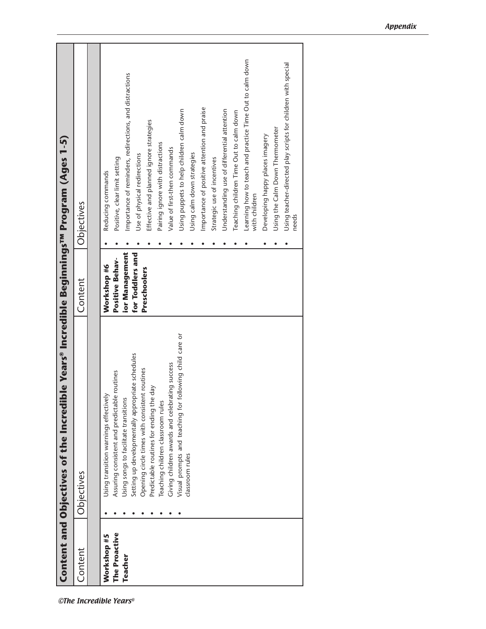|                | Content and Objectives of the Incredil                                                            |                       | ble Years® Incredible Beginnings™ Program (Ages 1-5)                      |
|----------------|---------------------------------------------------------------------------------------------------|-----------------------|---------------------------------------------------------------------------|
| Content        | Objectives                                                                                        | Content               | Objectives                                                                |
|                |                                                                                                   |                       |                                                                           |
| Workshop #5    | Using transition warnings effectively                                                             | Workshop #6           | Reducing commands                                                         |
| The Proactive  | Assuring consistent and predictable routines                                                      | Positive Behav-       | Positive, clear limit setting                                             |
| <b>Teacher</b> | Using songs to facilitate transitions                                                             | <b>ior Management</b> | Importance of reminders, redirections, and distractions                   |
|                | Setting up developmentally appropriate schedules<br>Opening circle times with consistent routines | for Toddlers and      | Use of physical redirections                                              |
|                | Predictable routines for ending the day                                                           | Preschoolers          | Effective and planned ignore strategies                                   |
|                | Teaching children classroom rules                                                                 |                       | Pairing ignore with distractions                                          |
|                | Giving children awards and celebrating success                                                    |                       | Value of first-then commands                                              |
|                | Visual prompts and teaching for following child care or                                           |                       | Using puppets to help children calm down                                  |
|                | classroom rules                                                                                   |                       | Using calm down strategies                                                |
|                |                                                                                                   |                       | Importance of positive attention and praise                               |
|                |                                                                                                   |                       | Strategic use of incentives                                               |
|                |                                                                                                   |                       | Understanding use of differential attention                               |
|                |                                                                                                   |                       | Teaching children Time Out to calm down                                   |
|                |                                                                                                   |                       | Learning how to teach and practice Time Out to calm down<br>with children |
|                |                                                                                                   |                       | Developing happy places imagery                                           |
|                |                                                                                                   |                       | Using the Calm Down Thermometer                                           |
|                |                                                                                                   |                       | Using teacher-directed play scripts for children with special             |
|                |                                                                                                   |                       | needs                                                                     |